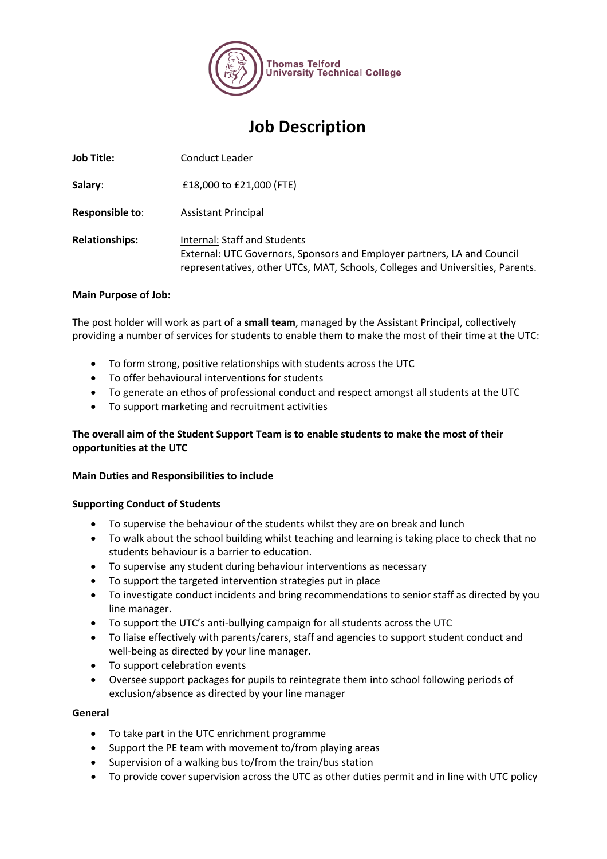

# **Job Description**

**Job Title:** Conduct Leader

**Salary**: £18,000 to £21,000 (FTE)

**Responsible to**: Assistant Principal

**Relationships:** Internal: Staff and Students External: UTC Governors, Sponsors and Employer partners, LA and Council representatives, other UTCs, MAT, Schools, Colleges and Universities, Parents.

# **Main Purpose of Job:**

The post holder will work as part of a **small team**, managed by the Assistant Principal, collectively providing a number of services for students to enable them to make the most of their time at the UTC:

- To form strong, positive relationships with students across the UTC
- To offer behavioural interventions for students
- To generate an ethos of professional conduct and respect amongst all students at the UTC
- To support marketing and recruitment activities

# **The overall aim of the Student Support Team is to enable students to make the most of their opportunities at the UTC**

# **Main Duties and Responsibilities to include**

# **Supporting Conduct of Students**

- To supervise the behaviour of the students whilst they are on break and lunch
- To walk about the school building whilst teaching and learning is taking place to check that no students behaviour is a barrier to education.
- To supervise any student during behaviour interventions as necessary
- To support the targeted intervention strategies put in place
- To investigate conduct incidents and bring recommendations to senior staff as directed by you line manager.
- To support the UTC's anti-bullying campaign for all students across the UTC
- To liaise effectively with parents/carers, staff and agencies to support student conduct and well-being as directed by your line manager.
- To support celebration events
- Oversee support packages for pupils to reintegrate them into school following periods of exclusion/absence as directed by your line manager

#### **General**

- To take part in the UTC enrichment programme
- Support the PE team with movement to/from playing areas
- Supervision of a walking bus to/from the train/bus station
- To provide cover supervision across the UTC as other duties permit and in line with UTC policy